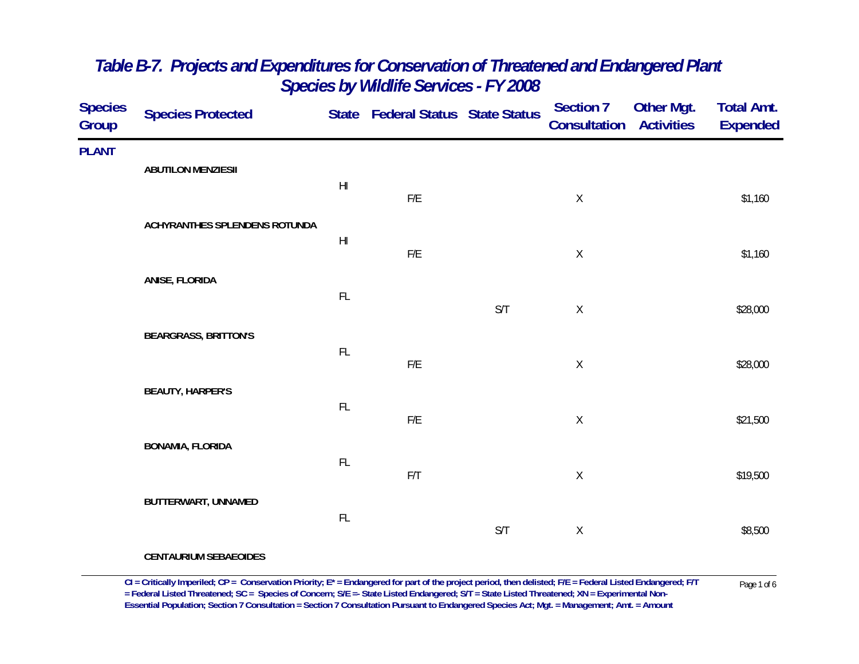| <b>Species</b><br>Group | <b>Species Protected</b>      |                        | State Federal Status State Status |     | <b>Section 7</b><br><b>Consultation Activities</b> | <b>Other Mgt.</b> | <b>Total Amt.</b><br><b>Expended</b> |
|-------------------------|-------------------------------|------------------------|-----------------------------------|-----|----------------------------------------------------|-------------------|--------------------------------------|
| <b>PLANT</b>            | <b>ABUTILON MENZIESII</b>     |                        |                                   |     |                                                    |                   |                                      |
|                         |                               | $\mathsf{H}\mathsf{I}$ | ${\sf F/E}$                       |     | $\mathsf X$                                        |                   | \$1,160                              |
|                         | ACHYRANTHES SPLENDENS ROTUNDA | H <sub>l</sub>         | ${\sf F/E}$                       |     | $\mathsf X$                                        |                   | \$1,160                              |
|                         | ANISE, FLORIDA                | $\mathsf{FL}$          |                                   |     |                                                    |                   |                                      |
|                         | <b>BEARGRASS, BRITTON'S</b>   |                        |                                   | S/T | $\mathsf X$                                        |                   | \$28,000                             |
|                         |                               | $\mathsf{FL}$          | ${\sf F/E}$                       |     | $\mathsf X$                                        |                   | \$28,000                             |
|                         | <b>BEAUTY, HARPER'S</b>       | FL                     | ${\sf F/E}$                       |     | $\mathsf X$                                        |                   | \$21,500                             |
|                         | <b>BONAMIA, FLORIDA</b>       | $\mathsf{FL}$          | $\mathsf{F}/\mathsf{T}$           |     | $\mathsf X$                                        |                   | \$19,500                             |
|                         | BUTTERWART, UNNAMED           | $\mathsf{FL}$          |                                   |     |                                                    |                   |                                      |
|                         |                               |                        |                                   | S/T | $\mathsf X$                                        |                   | \$8,500                              |

**CENTAURIUM SEBAEOIDES**

CI = Critically Imperiled; CP = Conservation Priority; E\* = Endangered for part of the project period, then delisted; F/E = Federal Listed Endangered; F/T Page 1 of 6<br>= Federal Listed Threatened; SC = Species of Concern; **Essential Population; Section 7 Consultation = Section 7 Consultation Pursuant to Endangered Species Act; Mgt. = Management; Amt. = Amount**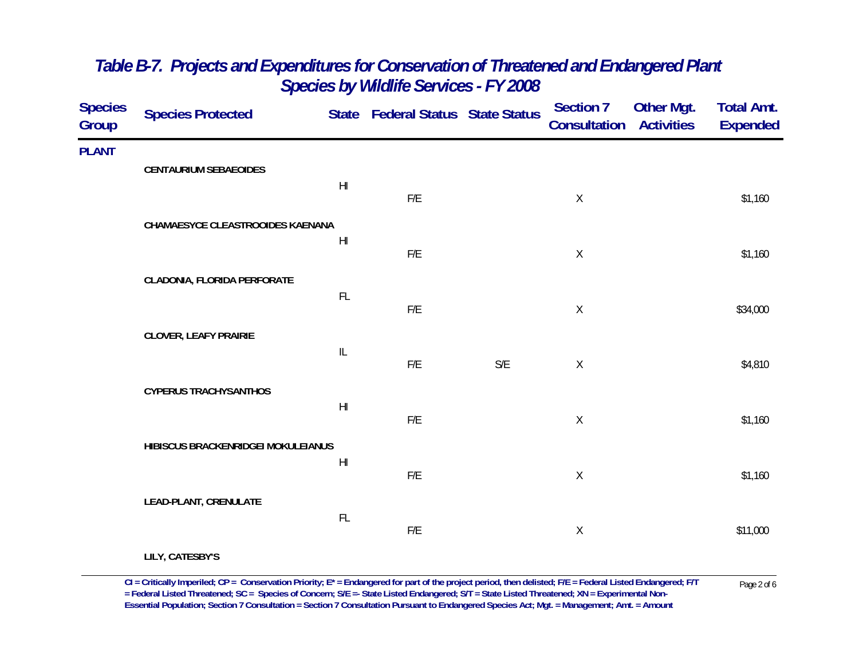| <b>Species</b><br>Group | <b>Species Protected</b>           |                                   | State Federal Status State Status |     | <b>Section 7</b><br><b>Consultation Activities</b> | <b>Other Mgt.</b> | <b>Total Amt.</b><br><b>Expended</b> |
|-------------------------|------------------------------------|-----------------------------------|-----------------------------------|-----|----------------------------------------------------|-------------------|--------------------------------------|
| <b>PLANT</b>            | <b>CENTAURIUM SEBAEOIDES</b>       |                                   |                                   |     |                                                    |                   |                                      |
|                         |                                    | H <sub>l</sub>                    | F/E                               |     | $\sf X$                                            |                   | \$1,160                              |
|                         | CHAMAESYCE CLEASTROOIDES KAENANA   | $\mathsf{H}\mathsf{I}$            |                                   |     |                                                    |                   |                                      |
|                         |                                    |                                   | $\mathsf{F}/\mathsf{E}$           |     | $\mathsf X$                                        |                   | \$1,160                              |
|                         | CLADONIA, FLORIDA PERFORATE        | $\mathsf{FL}$                     | ${\sf F/E}$                       |     | $\mathsf X$                                        |                   | \$34,000                             |
|                         | <b>CLOVER, LEAFY PRAIRIE</b>       |                                   |                                   |     |                                                    |                   |                                      |
|                         |                                    | $\ensuremath{\mathsf{IL}}\xspace$ | F/E                               | S/E | $\mathsf X$                                        |                   | \$4,810                              |
|                         | <b>CYPERUS TRACHYSANTHOS</b>       | $\mathsf{H}\mathsf{I}$            |                                   |     |                                                    |                   |                                      |
|                         | HIBISCUS BRACKENRIDGEI MOKULEIANUS |                                   | ${\sf F/E}$                       |     | $\mathsf X$                                        |                   | \$1,160                              |
|                         |                                    | $\mathsf{H}\mathsf{I}$            | $\mathsf{F}/\mathsf{E}$           |     | $\mathsf X$                                        |                   | \$1,160                              |
|                         | LEAD-PLANT, CRENULATE              |                                   |                                   |     |                                                    |                   |                                      |
|                         |                                    | FL                                | ${\sf F/E}$                       |     | $\mathsf X$                                        |                   | \$11,000                             |
|                         | LILY, CATESBY'S                    |                                   |                                   |     |                                                    |                   |                                      |

 $CI = Critically$  Imperiled;  $CP = \text{Conservation Priority}; E^* = \text{Endangered for part of the project period, then deleted; F/E = Federal listed Endanged; F/T  
= Federal listed Thread, SC = Species of \text{Concern}; S/E = State listed Endanged; S/T = State Listed Thread, XN = Experimental Non-$ **Essential Population; Section 7 Consultation = Section 7 Consultation Pursuant to Endangered Species Act; Mgt. = Management; Amt. = Amount**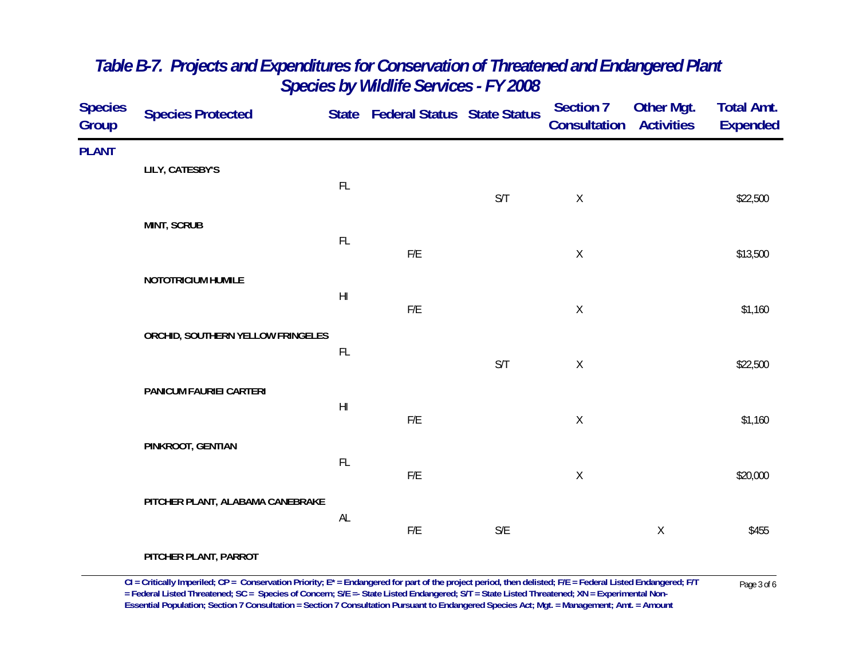| <b>Species</b><br>Group | <b>Species Protected</b>          |                        | State Federal Status State Status |                         | <b>Section 7</b><br><b>Consultation Activities</b> | <b>Other Mgt.</b> | <b>Total Amt.</b><br><b>Expended</b> |
|-------------------------|-----------------------------------|------------------------|-----------------------------------|-------------------------|----------------------------------------------------|-------------------|--------------------------------------|
| <b>PLANT</b>            | LILY, CATESBY'S                   |                        |                                   |                         |                                                    |                   |                                      |
|                         |                                   | FL                     |                                   | S/T                     | $\mathsf X$                                        |                   | \$22,500                             |
|                         | <b>MINT, SCRUB</b>                | FL                     |                                   |                         |                                                    |                   |                                      |
|                         |                                   |                        | F/E                               |                         | $\mathsf X$                                        |                   | \$13,500                             |
|                         | NOTOTRICIUM HUMILE                | $\mathsf{H}\mathsf{I}$ | ${\sf F/E}$                       |                         | $\mathsf X$                                        |                   | \$1,160                              |
|                         | ORCHID, SOUTHERN YELLOW FRINGELES |                        |                                   |                         |                                                    |                   |                                      |
|                         |                                   | FL                     |                                   | S/T                     | $\mathsf X$                                        |                   | \$22,500                             |
|                         | PANICUM FAURIEI CARTERI           | $\mathsf{H}\mathsf{I}$ |                                   |                         |                                                    |                   |                                      |
|                         |                                   |                        | ${\sf F/E}$                       |                         | $\mathsf X$                                        |                   | \$1,160                              |
|                         | PINKROOT, GENTIAN                 | FL                     | F/E                               |                         | $\mathsf X$                                        |                   | \$20,000                             |
|                         | PITCHER PLANT, ALABAMA CANEBRAKE  |                        |                                   |                         |                                                    |                   |                                      |
|                         |                                   | AL                     | F/E                               | $\mathsf{S}/\mathsf{E}$ |                                                    | Χ                 | \$455                                |
|                         | PITCHER PLANT, PARROT             |                        |                                   |                         |                                                    |                   |                                      |

CI = Critically Imperiled; CP = Conservation Priority; E\* = Endangered for part of the project period, then delisted; F/E = Federal Listed Endangered; F/T Page 3 of 6<br>= Federal Listed Threatened; SC = Species of Concern; S **Essential Population; Section 7 Consultation = Section 7 Consultation Pursuant to Endangered Species Act; Mgt. = Management; Amt. = Amount**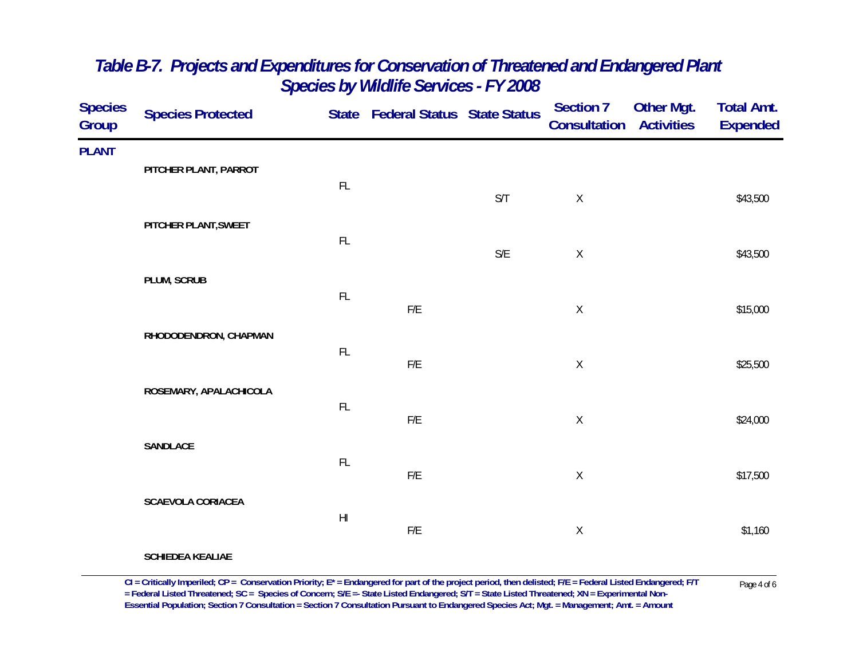| <b>Species</b><br>Group | <b>Species Protected</b> |                        | State Federal Status State Status |                         | <b>Section 7</b><br><b>Consultation Activities</b> | Other Mgt. | <b>Total Amt.</b><br><b>Expended</b> |
|-------------------------|--------------------------|------------------------|-----------------------------------|-------------------------|----------------------------------------------------|------------|--------------------------------------|
| <b>PLANT</b>            | PITCHER PLANT, PARROT    |                        |                                   |                         |                                                    |            |                                      |
|                         |                          | $\mathsf{FL}$          |                                   | S/T                     | $\mathsf X$                                        |            | \$43,500                             |
|                         | PITCHER PLANT, SWEET     | $\mathsf{FL}$          |                                   |                         |                                                    |            |                                      |
|                         |                          |                        |                                   | $\mathsf{S}/\mathsf{E}$ | $\mathsf X$                                        |            | \$43,500                             |
|                         | PLUM, SCRUB              | FL                     | ${\sf F/E}$                       |                         | $\mathsf X$                                        |            | \$15,000                             |
|                         | RHODODENDRON, CHAPMAN    | $\mathsf{FL}$          |                                   |                         |                                                    |            |                                      |
|                         |                          |                        | ${\sf F/E}$                       |                         | $\mathsf X$                                        |            | \$25,500                             |
|                         | ROSEMARY, APALACHICOLA   | $\mathsf{FL}$          | ${\sf F/E}$                       |                         | $\mathsf X$                                        |            | \$24,000                             |
|                         | SANDLACE                 |                        |                                   |                         |                                                    |            |                                      |
|                         |                          | $\mathsf{FL}$          | ${\sf F/E}$                       |                         | $\mathsf X$                                        |            | \$17,500                             |
|                         | <b>SCAEVOLA CORIACEA</b> | $\mathsf{H}\mathsf{I}$ | ${\sf F/E}$                       |                         | $\mathsf X$                                        |            | \$1,160                              |
|                         | <b>SCHIEDEA KEALIAE</b>  |                        |                                   |                         |                                                    |            |                                      |

 $CI = Critically$  Imperiled;  $CP = \text{Conservation Priority}; E^* = \text{Endangered for part of the project period, then deleted; F/E = Federal Listed Endanged; F/T  
= Federal Listed Threated, SC = Species of Concern; S/E = State Listed Endanged; S/T = State Listed Threated; XN = Experimental Non-$ **Essential Population; Section 7 Consultation = Section 7 Consultation Pursuant to Endangered Species Act; Mgt. = Management; Amt. = Amount**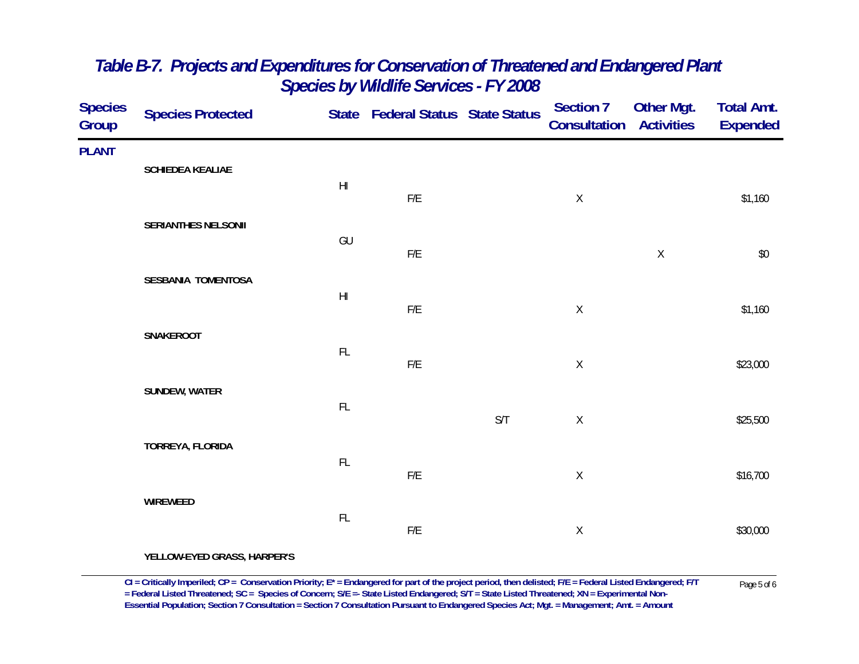| Species<br>Group | <b>Species Protected</b> |                                                            | State Federal Status State Status |     | Section 7<br><b>Consultation Activities</b> | <b>Other Mgt.</b> | <b>Total Amt.</b><br><b>Expended</b> |
|------------------|--------------------------|------------------------------------------------------------|-----------------------------------|-----|---------------------------------------------|-------------------|--------------------------------------|
| <b>PLANT</b>     |                          |                                                            |                                   |     |                                             |                   |                                      |
|                  | SCHIEDEA KEALIAE         | $\mathsf{H}\mathsf{I}$                                     | F/E                               |     | $\mathsf X$                                 |                   | \$1,160                              |
|                  | SERIANTHES NELSONII      | $\mathsf{GU}% _{\mathsf{C}}^{\mathsf{C}}(\mathcal{M}_{0})$ |                                   |     |                                             |                   |                                      |
|                  | SESBANIA TOMENTOSA       |                                                            | $F/E$                             |     |                                             | $\mathsf X$       | $\$0$                                |
|                  |                          | $\mathsf{H}\mathsf{I}$                                     | $\mathsf{F}/\mathsf{E}$           |     | $\mathsf X$                                 |                   | \$1,160                              |
|                  | SNAKEROOT                | $\mathsf{FL}$                                              |                                   |     |                                             |                   |                                      |
|                  |                          |                                                            | $\mathsf{F}/\mathsf{E}$           |     | $\mathsf X$                                 |                   | \$23,000                             |
|                  | SUNDEW, WATER            | $\mathsf{FL}$                                              |                                   | S/T | $\mathsf X$                                 |                   | \$25,500                             |
|                  | TORREYA, FLORIDA         |                                                            |                                   |     |                                             |                   |                                      |
|                  |                          | $\mathsf{FL}$                                              | $F/E$                             |     | $\mathsf X$                                 |                   | \$16,700                             |
|                  | WIREWEED                 | $\mathsf{FL}$                                              |                                   |     |                                             |                   |                                      |
|                  |                          |                                                            | F/E                               |     | $\mathsf X$                                 |                   | \$30,000                             |

**YELLOW-EYED GRASS, HARPER'S**

 $CI = Critically$  Imperiled;  $CP = \text{Conservation Priority}; E^* = \text{Endangered for part of the project period, then deleted; F/E = Federal Listed Endanged; F/T  
= Federal Listed Threated, SC = Species of Concern; S/E = State Listed Endangered; S/T = State Listed Threated; XN = Experimental Non-$ **Essential Population; Section 7 Consultation = Section 7 Consultation Pursuant to Endangered Species Act; Mgt. = Management; Amt. = Amount**